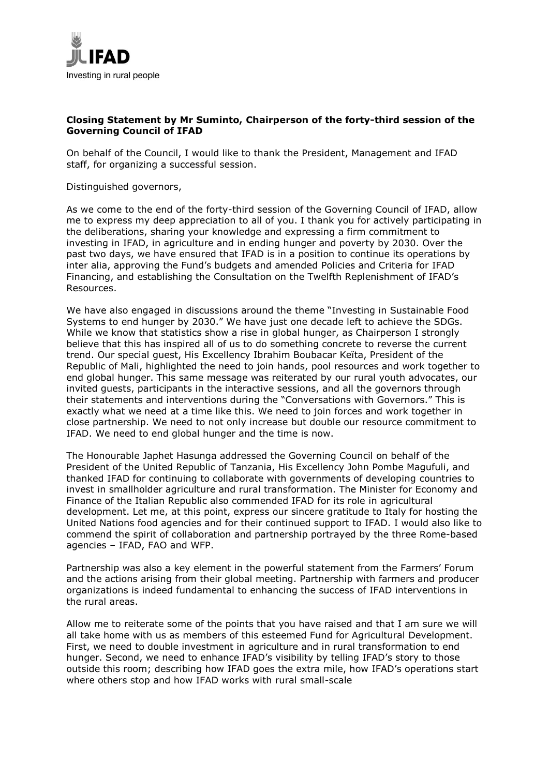

## **Closing Statement by Mr Suminto, Chairperson of the forty-third session of the Governing Council of IFAD**

On behalf of the Council, I would like to thank the President, Management and IFAD staff, for organizing a successful session.

Distinguished governors,

As we come to the end of the forty-third session of the Governing Council of IFAD, allow me to express my deep appreciation to all of you. I thank you for actively participating in the deliberations, sharing your knowledge and expressing a firm commitment to investing in IFAD, in agriculture and in ending hunger and poverty by 2030. Over the past two days, we have ensured that IFAD is in a position to continue its operations by inter alia, approving the Fund's budgets and amended Policies and Criteria for IFAD Financing, and establishing the Consultation on the Twelfth Replenishment of IFAD's Resources.

We have also engaged in discussions around the theme "Investing in Sustainable Food Systems to end hunger by 2030." We have just one decade left to achieve the SDGs. While we know that statistics show a rise in global hunger, as Chairperson I strongly believe that this has inspired all of us to do something concrete to reverse the current trend. Our special guest, His Excellency Ibrahim Boubacar Keïta, President of the Republic of Mali, highlighted the need to join hands, pool resources and work together to end global hunger. This same message was reiterated by our rural youth advocates, our invited guests, participants in the interactive sessions, and all the governors through their statements and interventions during the "Conversations with Governors." This is exactly what we need at a time like this. We need to join forces and work together in close partnership. We need to not only increase but double our resource commitment to IFAD. We need to end global hunger and the time is now.

The Honourable Japhet Hasunga addressed the Governing Council on behalf of the President of the United Republic of Tanzania, His Excellency John Pombe Magufuli, and thanked IFAD for continuing to collaborate with governments of developing countries to invest in smallholder agriculture and rural transformation. The Minister for Economy and Finance of the Italian Republic also commended IFAD for its role in agricultural development. Let me, at this point, express our sincere gratitude to Italy for hosting the United Nations food agencies and for their continued support to IFAD. I would also like to commend the spirit of collaboration and partnership portrayed by the three Rome-based agencies – IFAD, FAO and WFP.

Partnership was also a key element in the powerful statement from the Farmers' Forum and the actions arising from their global meeting. Partnership with farmers and producer organizations is indeed fundamental to enhancing the success of IFAD interventions in the rural areas.

Allow me to reiterate some of the points that you have raised and that I am sure we will all take home with us as members of this esteemed Fund for Agricultural Development. First, we need to double investment in agriculture and in rural transformation to end hunger. Second, we need to enhance IFAD's visibility by telling IFAD's story to those outside this room; describing how IFAD goes the extra mile, how IFAD's operations start where others stop and how IFAD works with rural small-scale